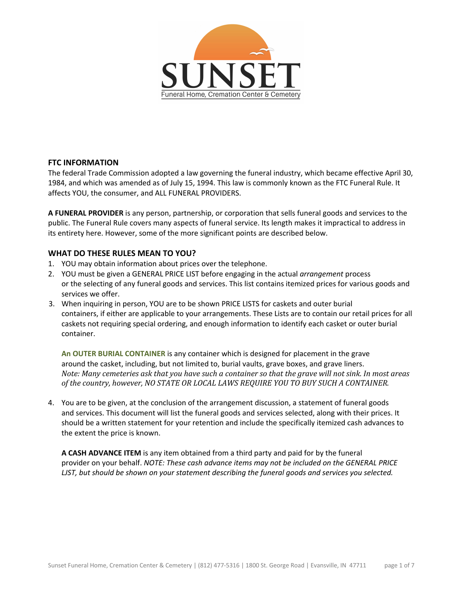

### **FTC INFORMATION**

The federal Trade Commission adopted a law governing the funeral industry, which became effective April 30, 1984, and which was amended as of July 15, 1994. This law is commonly known as the FTC Funeral Rule. It affects YOU, the consumer, and ALL FUNERAL PROVIDERS.

**A FUNERAL PROVIDER** is any person, partnership, or corporation that sells funeral goods and services to the public. The Funeral Rule covers many aspects of funeral service. Its length makes it impractical to address in its entirety here. However, some of the more significant points are described below.

### **WHAT DO THESE RULES MEAN TO YOU?**

- 1. YOU may obtain information about prices over the telephone.
- 2. YOU must be given a GENERAL PRICE LIST before engaging in the actual *arrangement* process or the selecting of any funeral goods and services. This list contains itemized prices for various goods and services we offer.
- 3. When inquiring in person, YOU are to be shown PRICE LISTS for caskets and outer burial containers, if either are applicable to your arrangements. These Lists are to contain our retail prices for all caskets not requiring special ordering, and enough information to identify each casket or outer burial container.

**An OUTER BURIAL CONTAINER** is any container which is designed for placement in the grave around the casket, including, but not limited to, burial vaults, grave boxes, and grave liners. *Note: Many cemeteries ask that you have such a container so that the grave will not sink. In most areas of the country, however, NO STATE OR LOCAL LAWS REQUIRE YOU TO BUY SUCH A CONTAINER.* 

4. You are to be given, at the conclusion of the arrangement discussion, a statement of funeral goods and services. This document will list the funeral goods and services selected, along with their prices. It should be a written statement for your retention and include the specifically itemized cash advances to the extent the price is known.

**A CASH ADVANCE ITEM** is any item obtained from a third party and paid for by the funeral provider on your behalf. *NOTE: These cash advance items may not be included on the GENERAL PRICE LJST, but should be shown on your statement describing the funeral goods and services you selected.*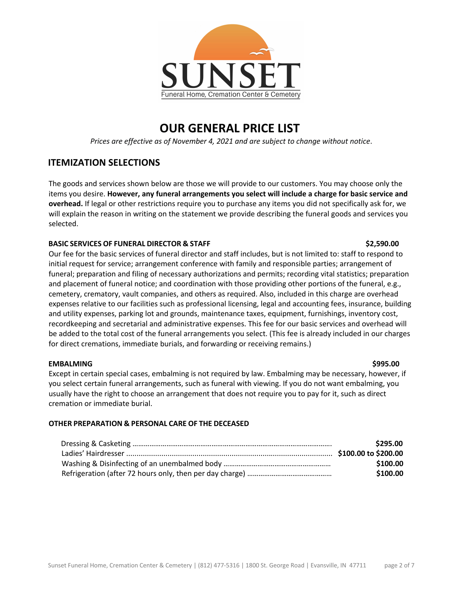

# **OUR GENERAL PRICE LIST**

*Prices are effective as of November 4, 2021 and are subject to change without notice*.

## **ITEMIZATION SELECTIONS**

The goods and services shown below are those we will provide to our customers. You may choose only the items you desire. **However, any funeral arrangements you select will include a charge for basic service and overhead.** If legal or other restrictions require you to purchase any items you did not specifically ask for, we will explain the reason in writing on the statement we provide describing the funeral goods and services you selected.

### **BASIC SERVICES OF FUNERAL DIRECTOR & STAFF \$2,590.00**

Our fee for the basic services of funeral director and staff includes, but is not limited to: staff to respond to initial request for service; arrangement conference with family and responsible parties; arrangement of funeral; preparation and filing of necessary authorizations and permits; recording vital statistics; preparation and placement of funeral notice; and coordination with those providing other portions of the funeral, e.g., cemetery, crematory, vault companies, and others as required. Also, included in this charge are overhead expenses relative to our facilities such as professional licensing, legal and accounting fees, insurance, building and utility expenses, parking lot and grounds, maintenance taxes, equipment, furnishings, inventory cost, recordkeeping and secretarial and administrative expenses. This fee for our basic services and overhead will be added to the total cost of the funeral arrangements you select. (This fee is already included in our charges for direct cremations, immediate burials, and forwarding or receiving remains.)

### **EMBALMING \$995.00**

Except in certain special cases, embalming is not required by law. Embalming may be necessary, however, if you select certain funeral arrangements, such as funeral with viewing. If you do not want embalming, you usually have the right to choose an arrangement that does not require you to pay for it, such as direct cremation or immediate burial.

### **OTHER PREPARATION & PERSONAL CARE OF THE DECEASED**

| \$295.00 |
|----------|
|          |
| \$100.00 |
| \$100.00 |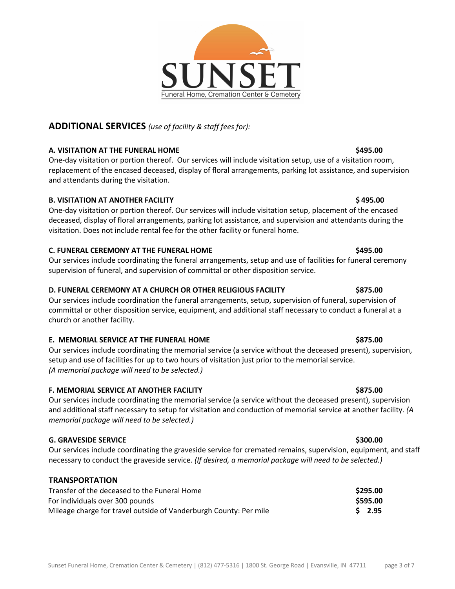## **ADDITIONAL SERVICES** *(use of facility & staff fees for):*

## **A. VISITATION AT THE FUNERAL HOME \$495.00**

One-day visitation or portion thereof. Our services will include visitation setup, use of a visitation room, replacement of the encased deceased, display of floral arrangements, parking lot assistance, and supervision and attendants during the visitation.

## **B. VISITATION AT ANOTHER FACILITY All and the set of the set of the set of the set of the set of the set of the set of the set of the set of the set of the set of the set of the set of the set of the set of the set of t**

One-day visitation or portion thereof. Our services will include visitation setup, placement of the encased deceased, display of floral arrangements, parking lot assistance, and supervision and attendants during the visitation. Does not include rental fee for the other facility or funeral home.

## **C. FUNERAL CEREMONY AT THE FUNERAL HOME \$495.00**

Our services include coordinating the funeral arrangements, setup and use of facilities for funeral ceremony supervision of funeral, and supervision of committal or other disposition service.

## **D. FUNERAL CEREMONY AT A CHURCH OR OTHER RELIGIOUS FACILITY \$875.00**

Our services include coordination the funeral arrangements, setup, supervision of funeral, supervision of committal or other disposition service, equipment, and additional staff necessary to conduct a funeral at a church or another facility.

## **E. MEMORIAL SERVICE AT THE FUNERAL HOME \$875.00**

Our services include coordinating the memorial service (a service without the deceased present), supervision, setup and use of facilities for up to two hours of visitation just prior to the memorial service. *(A memorial package will need to be selected.)* 

## **F. MEMORIAL SERVICE AT ANOTHER FACILITY \$875.00**

Our services include coordinating the memorial service (a service without the deceased present), supervision and additional staff necessary to setup for visitation and conduction of memorial service at another facility. *(A memorial package will need to be selected.)*

## **G. GRAVESIDE SERVICE \$300.00**

Our services include coordinating the graveside service for cremated remains, supervision, equipment, and staff necessary to conduct the graveside service. *(If desired, a memorial package will need to be selected.)*

## **TRANSPORTATION**

| Transfer of the deceased to the Funeral Home                      | \$295.00 |
|-------------------------------------------------------------------|----------|
| For individuals over 300 pounds                                   | \$595.00 |
| Mileage charge for travel outside of Vanderburgh County: Per mile | $S$ 2.95 |

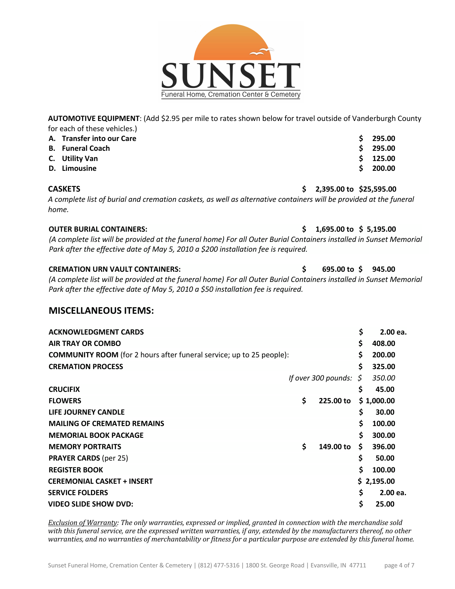**AUTOMOTIVE EQUIPMENT**: (Add \$2.95 per mile to rates shown below for travel outside of Vanderburgh County for each of these vehicles.)

| A. Transfer into our Care | 295.00     |
|---------------------------|------------|
| <b>B.</b> Funeral Coach   | 295.00     |
| C. Utility Van            | $5$ 125.00 |
| D. Limousine              | 200.00     |

#### **CASKETS \$ 2,395.00 to \$25,595.00**

*A complete list of burial and cremation caskets, as well as alternative containers will be provided at the funeral home.*

### **OUTER BURIAL CONTAINERS: \$ 1,695.00 to \$ 5,195.00**

*(A complete list will be provided at the funeral home) For all Outer Burial Containers installed in Sunset Memorial Park after the effective date of May 5, 2010 a \$200 installation fee is required.* 

### **CREMATION URN VAULT CONTAINERS: \$ 695.00 to \$ 945.00**

*(A complete list will be provided at the funeral home) For all Outer Burial Containers installed in Sunset Memorial Park after the effective date of May 5, 2010 a \$50 installation fee is required.*

### **MISCELLANEOUS ITEMS:**

| <b>ACKNOWLEDGMENT CARDS</b>                                                 |                     | \$ | 2.00 ea.   |
|-----------------------------------------------------------------------------|---------------------|----|------------|
| <b>AIR TRAY OR COMBO</b>                                                    |                     | \$ | 408.00     |
| <b>COMMUNITY ROOM</b> (for 2 hours after funeral service; up to 25 people): |                     | \$ | 200.00     |
| <b>CREMATION PROCESS</b>                                                    |                     | \$ | 325.00     |
|                                                                             | If over 300 pounds: | S  | 350.00     |
| <b>CRUCIFIX</b>                                                             |                     | \$ | 45.00      |
| <b>FLOWERS</b>                                                              | \$<br>225.00 to     |    | \$1,000.00 |
| LIFE JOURNEY CANDLE                                                         |                     | \$ | 30.00      |
| <b>MAILING OF CREMATED REMAINS</b>                                          |                     | Ś. | 100.00     |
| <b>MEMORIAL BOOK PACKAGE</b>                                                |                     | Ś. | 300.00     |
| <b>MEMORY PORTRAITS</b>                                                     | \$<br>149.00 to     | \$ | 396.00     |
| <b>PRAYER CARDS</b> (per 25)                                                |                     | \$ | 50.00      |
| <b>REGISTER BOOK</b>                                                        |                     | \$ | 100.00     |
| <b>CEREMONIAL CASKET + INSERT</b>                                           |                     |    | \$2,195.00 |
| <b>SERVICE FOLDERS</b>                                                      |                     | \$ | 2.00 ea.   |
| <b>VIDEO SLIDE SHOW DVD:</b>                                                |                     | \$ | 25.00      |

*Exclusion of Warranty:* The only warranties, expressed or implied, granted in connection with the merchandise sold with this funeral service, are the expressed written warranties, if any, extended by the manufacturers thereof, no other warranties, and no warranties of merchantability or fitness for a particular purpose are extended by this funeral home.

Funeral Home, Cremation Center & Cemetery

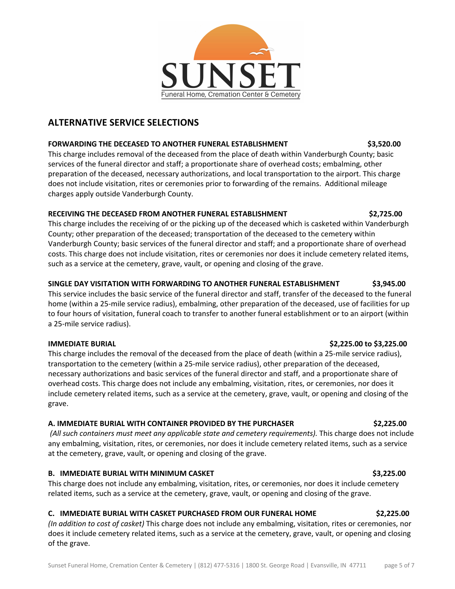

## **ALTERNATIVE SERVICE SELECTIONS**

### **FORWARDING THE DECEASED TO ANOTHER FUNERAL ESTABLISHMENT \$3,520.00**

This charge includes removal of the deceased from the place of death within Vanderburgh County; basic services of the funeral director and staff; a proportionate share of overhead costs; embalming, other preparation of the deceased, necessary authorizations, and local transportation to the airport. This charge does not include visitation, rites or ceremonies prior to forwarding of the remains. Additional mileage charges apply outside Vanderburgh County.

### **RECEIVING THE DECEASED FROM ANOTHER FUNERAL ESTABLISHMENT \$2,725.00**

This charge includes the receiving of or the picking up of the deceased which is casketed within Vanderburgh County; other preparation of the deceased; transportation of the deceased to the cemetery within Vanderburgh County; basic services of the funeral director and staff; and a proportionate share of overhead costs. This charge does not include visitation, rites or ceremonies nor does it include cemetery related items, such as a service at the cemetery, grave, vault, or opening and closing of the grave.

### **SINGLE DAY VISITATION WITH FORWARDING TO ANOTHER FUNERAL ESTABLISHMENT \$3,945.00**

This service includes the basic service of the funeral director and staff, transfer of the deceased to the funeral home (within a 25-mile service radius), embalming, other preparation of the deceased, use of facilities for up to four hours of visitation, funeral coach to transfer to another funeral establishment or to an airport (within a 25-mile service radius).

This charge includes the removal of the deceased from the place of death (within a 25-mile service radius), transportation to the cemetery (within a 25-mile service radius), other preparation of the deceased, necessary authorizations and basic services of the funeral director and staff, and a proportionate share of overhead costs. This charge does not include any embalming, visitation, rites, or ceremonies, nor does it include cemetery related items, such as a service at the cemetery, grave, vault, or opening and closing of the grave.

### **A. IMMEDIATE BURIAL WITH CONTAINER PROVIDED BY THE PURCHASER \$2,225.00**

*(All such containers must meet any applicable state and cemetery requirements).* This charge does not include any embalming, visitation, rites, or ceremonies, nor does it include cemetery related items, such as a service at the cemetery, grave, vault, or opening and closing of the grave.

### **B. IMMEDIATE BURIAL WITH MINIMUM CASKET \$3,225.00**

This charge does not include any embalming, visitation, rites, or ceremonies, nor does it include cemetery related items, such as a service at the cemetery, grave, vault, or opening and closing of the grave.

### **C. IMMEDIATE BURIAL WITH CASKET PURCHASED FROM OUR FUNERAL HOME \$2,225.00**

*(In addition to cost of casket)* This charge does not include any embalming, visitation, rites or ceremonies, nor does it include cemetery related items, such as a service at the cemetery, grave, vault, or opening and closing of the grave.

### **IMMEDIATE BURIAL \$2,225.00 to \$3,225.00**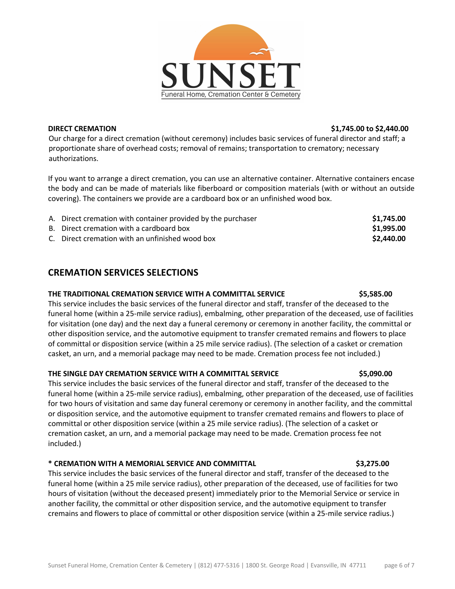

**DIRECT CREMATION \$1,745.00 to \$2,440.00**

Our charge for a direct cremation (without ceremony) includes basic services of funeral director and staff; a proportionate share of overhead costs; removal of remains; transportation to crematory; necessary authorizations.

If you want to arrange a direct cremation, you can use an alternative container. Alternative containers encase the body and can be made of materials like fiberboard or composition materials (with or without an outside covering). The containers we provide are a cardboard box or an unfinished wood box.

| A. Direct cremation with container provided by the purchaser | \$1,745.00 |
|--------------------------------------------------------------|------------|
| B. Direct cremation with a cardboard box                     | \$1,995.00 |
| C. Direct cremation with an unfinished wood box              | \$2,440.00 |

## **CREMATION SERVICES SELECTIONS**

### **THE TRADITIONAL CREMATION SERVICE WITH A COMMITTAL SERVICE \$5,585.00**

This service includes the basic services of the funeral director and staff, transfer of the deceased to the funeral home (within a 25-mile service radius), embalming, other preparation of the deceased, use of facilities for visitation (one day) and the next day a funeral ceremony or ceremony in another facility, the committal or other disposition service, and the automotive equipment to transfer cremated remains and flowers to place of committal or disposition service (within a 25 mile service radius). (The selection of a casket or cremation casket, an urn, and a memorial package may need to be made. Cremation process fee not included.)

### **THE SINGLE DAY CREMATION SERVICE WITH A COMMITTAL SERVICE \$5,090.00**

This service includes the basic services of the funeral director and staff, transfer of the deceased to the funeral home (within a 25-mile service radius), embalming, other preparation of the deceased, use of facilities for two hours of visitation and same day funeral ceremony or ceremony in another facility, and the committal or disposition service, and the automotive equipment to transfer cremated remains and flowers to place of committal or other disposition service (within a 25 mile service radius). (The selection of a casket or cremation casket, an urn, and a memorial package may need to be made. Cremation process fee not included.)

### **\* CREMATION WITH A MEMORIAL SERVICE AND COMMITTAL \$3,275.00**

This service includes the basic services of the funeral director and staff, transfer of the deceased to the funeral home (within a 25 mile service radius), other preparation of the deceased, use of facilities for two hours of visitation (without the deceased present) immediately prior to the Memorial Service or service in another facility, the committal or other disposition service, and the automotive equipment to transfer cremains and flowers to place of committal or other disposition service (within a 25-mile service radius.)